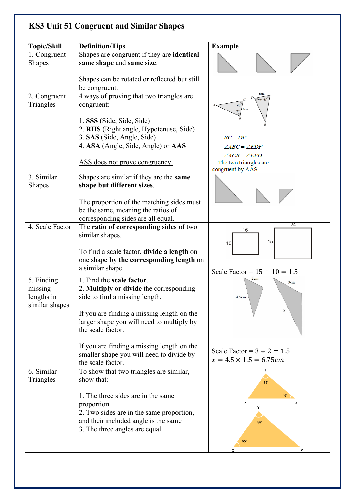## **KS3 Unit 51 Congruent and Similar Shapes**

| <b>Topic/Skill</b> | <b>Definition/Tips</b>                                                | <b>Example</b>                     |
|--------------------|-----------------------------------------------------------------------|------------------------------------|
| 1. Congruent       | Shapes are congruent if they are <b>identical</b> -                   |                                    |
| <b>Shapes</b>      | same shape and same size.                                             |                                    |
|                    | Shapes can be rotated or reflected but still<br>be congruent.         |                                    |
| 2. Congruent       | 4 ways of proving that two triangles are                              | $73^{\circ} 61^{\circ}$            |
| Triangles          | congruent:                                                            | 73                                 |
|                    | 1. SSS (Side, Side, Side)                                             |                                    |
|                    | 2. RHS (Right angle, Hypotenuse, Side)                                |                                    |
|                    | 3. SAS (Side, Angle, Side)                                            | $BC = DF$                          |
|                    | 4. ASA (Angle, Side, Angle) or AAS                                    | $\angle ABC = \angle EDF$          |
|                    |                                                                       | $\angle ACB = \angle EFD$          |
|                    | ASS does not prove congruency.                                        | $\therefore$ The two triangles are |
| 3. Similar         |                                                                       | congruent by AAS.                  |
|                    | Shapes are similar if they are the same<br>shape but different sizes. |                                    |
| <b>Shapes</b>      |                                                                       |                                    |
|                    | The proportion of the matching sides must                             |                                    |
|                    | be the same, meaning the ratios of                                    |                                    |
|                    | corresponding sides are all equal.                                    |                                    |
| 4. Scale Factor    | The ratio of corresponding sides of two                               | 24<br>16                           |
|                    | similar shapes.                                                       |                                    |
|                    |                                                                       | 15<br>10                           |
|                    | To find a scale factor, divide a length on                            |                                    |
|                    | one shape by the corresponding length on                              |                                    |
|                    | a similar shape.                                                      | Scale Factor = $15 \div 10 = 1.5$  |
| 5. Finding         | 1. Find the scale factor.                                             | 2cm<br>3cm                         |
| missing            | 2. Multiply or divide the corresponding                               |                                    |
| lengths in         | side to find a missing length.                                        | 4.5cm                              |
| similar shapes     |                                                                       |                                    |
|                    | If you are finding a missing length on the                            |                                    |
|                    | larger shape you will need to multiply by                             |                                    |
|                    | the scale factor.                                                     |                                    |
|                    | If you are finding a missing length on the                            |                                    |
|                    | smaller shape you will need to divide by                              | Scale Factor = $3 \div 2 = 1.5$    |
|                    | the scale factor.                                                     | $x = 4.5 \times 1.5 = 6.75$ cm     |
| 6. Similar         | To show that two triangles are similar,                               |                                    |
| Triangles          | show that:                                                            | $85^\circ$                         |
|                    |                                                                       |                                    |
|                    | 1. The three sides are in the same                                    |                                    |
|                    | proportion                                                            |                                    |
|                    | 2. Two sides are in the same proportion,                              |                                    |
|                    | and their included angle is the same                                  | 85°                                |
|                    | 3. The three angles are equal                                         |                                    |
|                    |                                                                       | <b>55°</b>                         |
|                    |                                                                       | z                                  |